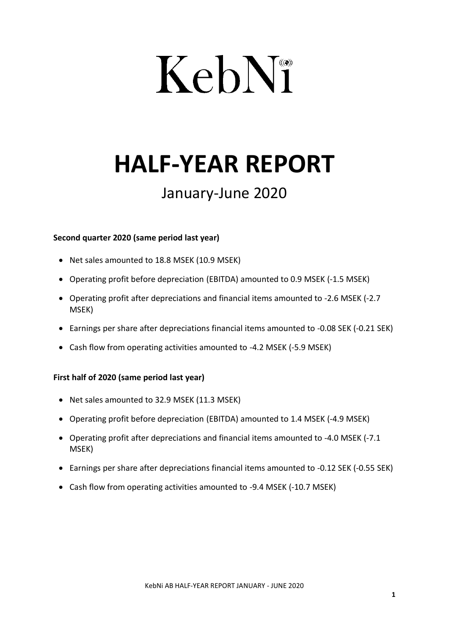# KebN®

## **HALF-YEAR REPORT**

### January-June 2020

#### **Second quarter 2020 (same period last year)**

- Net sales amounted to 18.8 MSEK (10.9 MSEK)
- Operating profit before depreciation (EBITDA) amounted to 0.9 MSEK (-1.5 MSEK)
- Operating profit after depreciations and financial items amounted to -2.6 MSEK (-2.7 MSEK)
- Earnings per share after depreciations financial items amounted to -0.08 SEK (-0.21 SEK)
- Cash flow from operating activities amounted to -4.2 MSEK (-5.9 MSEK)

#### **First half of 2020 (same period last year)**

- Net sales amounted to 32.9 MSEK (11.3 MSEK)
- Operating profit before depreciation (EBITDA) amounted to 1.4 MSEK (-4.9 MSEK)
- Operating profit after depreciations and financial items amounted to -4.0 MSEK (-7.1 MSEK)
- Earnings per share after depreciations financial items amounted to -0.12 SEK (-0.55 SEK)
- Cash flow from operating activities amounted to -9.4 MSEK (-10.7 MSEK)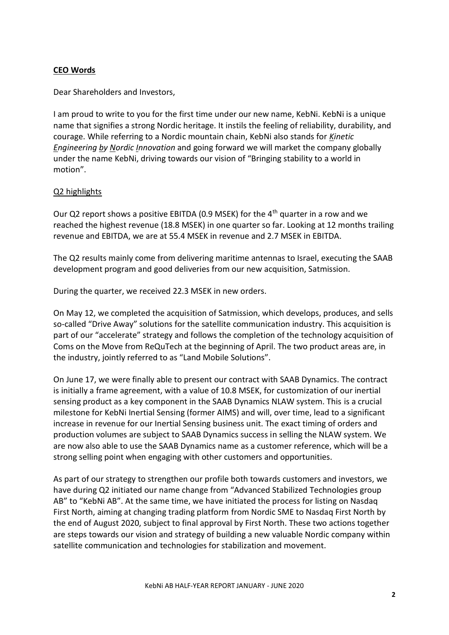#### **CEO Words**

Dear Shareholders and Investors,

I am proud to write to you for the first time under our new name, KebNi. KebNi is a unique name that signifies a strong Nordic heritage. It instils the feeling of reliability, durability, and courage. While referring to a Nordic mountain chain, KebNi also stands for *Kinetic Engineering by Nordic Innovation* and going forward we will market the company globally under the name KebNi, driving towards our vision of "Bringing stability to a world in motion".

#### Q2 highlights

Our Q2 report shows a positive EBITDA (0.9 MSEK) for the  $4<sup>th</sup>$  quarter in a row and we reached the highest revenue (18.8 MSEK) in one quarter so far. Looking at 12 months trailing revenue and EBITDA, we are at 55.4 MSEK in revenue and 2.7 MSEK in EBITDA.

The Q2 results mainly come from delivering maritime antennas to Israel, executing the SAAB development program and good deliveries from our new acquisition, Satmission.

During the quarter, we received 22.3 MSEK in new orders.

On May 12, we completed the acquisition of Satmission, which develops, produces, and sells so-called "Drive Away" solutions for the satellite communication industry. This acquisition is part of our "accelerate" strategy and follows the completion of the technology acquisition of Coms on the Move from ReQuTech at the beginning of April. The two product areas are, in the industry, jointly referred to as "Land Mobile Solutions".

On June 17, we were finally able to present our contract with SAAB Dynamics. The contract is initially a frame agreement, with a value of 10.8 MSEK, for customization of our inertial sensing product as a key component in the SAAB Dynamics NLAW system. This is a crucial milestone for KebNi Inertial Sensing (former AIMS) and will, over time, lead to a significant increase in revenue for our Inertial Sensing business unit. The exact timing of orders and production volumes are subject to SAAB Dynamics success in selling the NLAW system. We are now also able to use the SAAB Dynamics name as a customer reference, which will be a strong selling point when engaging with other customers and opportunities.

As part of our strategy to strengthen our profile both towards customers and investors, we have during Q2 initiated our name change from "Advanced Stabilized Technologies group AB" to "KebNi AB". At the same time, we have initiated the process for listing on Nasdaq First North, aiming at changing trading platform from Nordic SME to Nasdaq First North by the end of August 2020, subject to final approval by First North. These two actions together are steps towards our vision and strategy of building a new valuable Nordic company within satellite communication and technologies for stabilization and movement.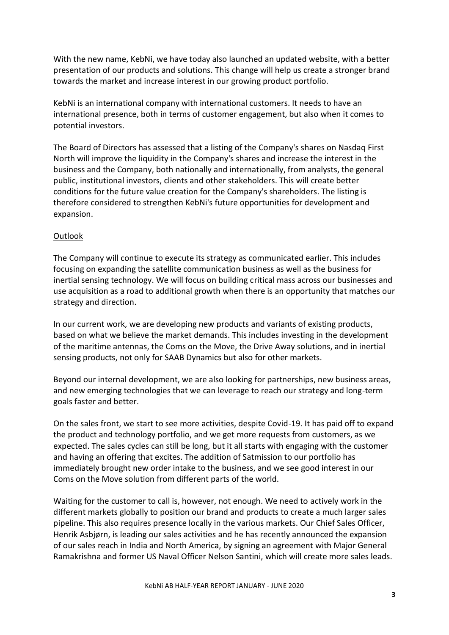With the new name, KebNi, we have today also launched an updated website, with a better presentation of our products and solutions. This change will help us create a stronger brand towards the market and increase interest in our growing product portfolio.

KebNi is an international company with international customers. It needs to have an international presence, both in terms of customer engagement, but also when it comes to potential investors.

The Board of Directors has assessed that a listing of the Company's shares on Nasdaq First North will improve the liquidity in the Company's shares and increase the interest in the business and the Company, both nationally and internationally, from analysts, the general public, institutional investors, clients and other stakeholders. This will create better conditions for the future value creation for the Company's shareholders. The listing is therefore considered to strengthen KebNi's future opportunities for development and expansion.

#### **Outlook**

The Company will continue to execute its strategy as communicated earlier. This includes focusing on expanding the satellite communication business as well as the business for inertial sensing technology. We will focus on building critical mass across our businesses and use acquisition as a road to additional growth when there is an opportunity that matches our strategy and direction.

In our current work, we are developing new products and variants of existing products, based on what we believe the market demands. This includes investing in the development of the maritime antennas, the Coms on the Move, the Drive Away solutions, and in inertial sensing products, not only for SAAB Dynamics but also for other markets.

Beyond our internal development, we are also looking for partnerships, new business areas, and new emerging technologies that we can leverage to reach our strategy and long-term goals faster and better.

On the sales front, we start to see more activities, despite Covid-19. It has paid off to expand the product and technology portfolio, and we get more requests from customers, as we expected. The sales cycles can still be long, but it all starts with engaging with the customer and having an offering that excites. The addition of Satmission to our portfolio has immediately brought new order intake to the business, and we see good interest in our Coms on the Move solution from different parts of the world.

Waiting for the customer to call is, however, not enough. We need to actively work in the different markets globally to position our brand and products to create a much larger sales pipeline. This also requires presence locally in the various markets. Our Chief Sales Officer, Henrik Asbjørn, is leading our sales activities and he has recently announced the expansion of our sales reach in India and North America, by signing an agreement with Major General Ramakrishna and former US Naval Officer Nelson Santini, which will create more sales leads.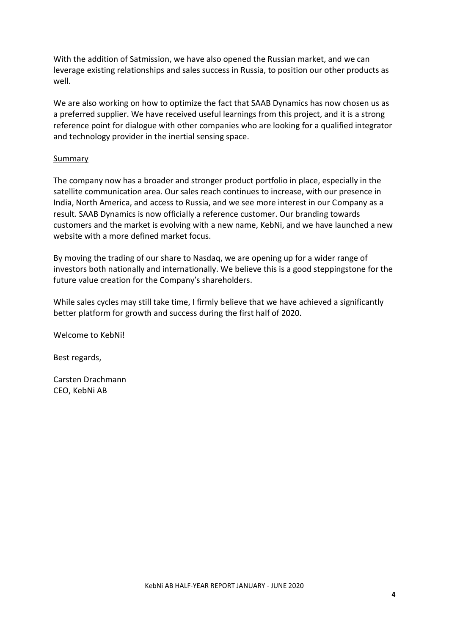With the addition of Satmission, we have also opened the Russian market, and we can leverage existing relationships and sales success in Russia, to position our other products as well.

We are also working on how to optimize the fact that SAAB Dynamics has now chosen us as a preferred supplier. We have received useful learnings from this project, and it is a strong reference point for dialogue with other companies who are looking for a qualified integrator and technology provider in the inertial sensing space.

#### Summary

The company now has a broader and stronger product portfolio in place, especially in the satellite communication area. Our sales reach continues to increase, with our presence in India, North America, and access to Russia, and we see more interest in our Company as a result. SAAB Dynamics is now officially a reference customer. Our branding towards customers and the market is evolving with a new name, KebNi, and we have launched a new website with a more defined market focus.

By moving the trading of our share to Nasdaq, we are opening up for a wider range of investors both nationally and internationally. We believe this is a good steppingstone for the future value creation for the Company's shareholders.

While sales cycles may still take time, I firmly believe that we have achieved a significantly better platform for growth and success during the first half of 2020.

Welcome to KebNi!

Best regards,

Carsten Drachmann CEO, KebNi AB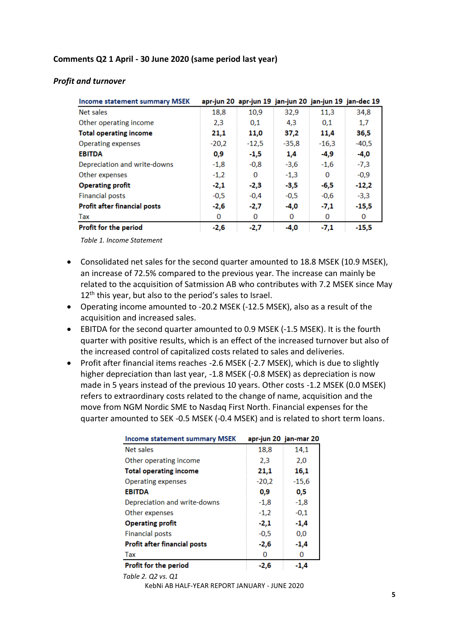#### **Comments Q2 1 April - 30 June 2020 (same period last year)**

| Income statement summary MSEK       |         | apr-jun 20  apr-jun 19  jan-jun 20  jan-jun 19  jan-dec 19 |         |         |         |
|-------------------------------------|---------|------------------------------------------------------------|---------|---------|---------|
| Net sales                           | 18,8    | 10,9                                                       | 32,9    | 11,3    | 34,8    |
| Other operating income              | 2,3     | 0,1                                                        | 4,3     | 0,1     | 1,7     |
| <b>Total operating income</b>       | 21,1    | 11,0                                                       | 37,2    | 11,4    | 36,5    |
| <b>Operating expenses</b>           | $-20.2$ | $-12,5$                                                    | $-35.8$ | $-16,3$ | $-40,5$ |
| <b>EBITDA</b>                       | 0,9     | $-1,5$                                                     | 1,4     | -4,9    | -4,0    |
| Depreciation and write-downs        | $-1,8$  | $-0.8$                                                     | $-3,6$  | $-1,6$  | $-7,3$  |
| Other expenses                      | $-1,2$  | 0                                                          | $-1,3$  | 0       | $-0,9$  |
| <b>Operating profit</b>             | $-2,1$  | $-2,3$                                                     | -3,5    | -6,5    | $-12,2$ |
| <b>Financial posts</b>              | $-0,5$  | $-0,4$                                                     | $-0,5$  | $-0,6$  | $-3,3$  |
| <b>Profit after financial posts</b> | -2,6    | $-2,7$                                                     | $-4,0$  | $-7,1$  | $-15,5$ |
| Tax                                 | 0       | 0                                                          | 0       | 0       | 0       |
| Profit for the period               | $-2,6$  | $-2,7$                                                     | $-4,0$  | $-7,1$  | $-15,5$ |

#### *Profit and turnover*

*Table 1. Income Statement*

- Consolidated net sales for the second quarter amounted to 18.8 MSEK (10.9 MSEK), an increase of 72.5% compared to the previous year. The increase can mainly be related to the acquisition of Satmission AB who contributes with 7.2 MSEK since May 12<sup>th</sup> this year, but also to the period's sales to Israel.
- Operating income amounted to -20.2 MSEK (-12.5 MSEK), also as a result of the acquisition and increased sales.
- EBITDA for the second quarter amounted to 0.9 MSEK (-1.5 MSEK). It is the fourth quarter with positive results, which is an effect of the increased turnover but also of the increased control of capitalized costs related to sales and deliveries.
- Profit after financial items reaches -2.6 MSEK (-2.7 MSEK), which is due to slightly higher depreciation than last year, -1.8 MSEK (-0.8 MSEK) as depreciation is now made in 5 years instead of the previous 10 years. Other costs -1.2 MSEK (0.0 MSEK) refers to extraordinary costs related to the change of name, acquisition and the move from NGM Nordic SME to Nasdaq First North. Financial expenses for the quarter amounted to SEK -0.5 MSEK (-0.4 MSEK) and is related to short term loans.

| <b>Income statement summary MSEK</b> |         | apr-jun 20 jan-mar 20 |
|--------------------------------------|---------|-----------------------|
| Net sales                            | 18,8    | 14,1                  |
| Other operating income               | 2,3     | 2,0                   |
| <b>Total operating income</b>        | 21,1    | 16,1                  |
| <b>Operating expenses</b>            | $-20,2$ | $-15.6$               |
| <b>EBITDA</b>                        | 0,9     | 0,5                   |
| Depreciation and write-downs         | $-1.8$  | $-1.8$                |
| Other expenses                       | $-1,2$  | $-0.1$                |
| <b>Operating profit</b>              | -2,1    | $-1,4$                |
| <b>Financial posts</b>               | $-0.5$  | 0,0                   |
| <b>Profit after financial posts</b>  | $-2,6$  | -1,4                  |
| Tax                                  | 0       | 0                     |
| <b>Profit for the period</b>         | $-2,6$  | $-1.4$                |

 *Table 2. Q2 vs. Q1*

KebNi AB HALF-YEAR REPORT JANUARY - JUNE 2020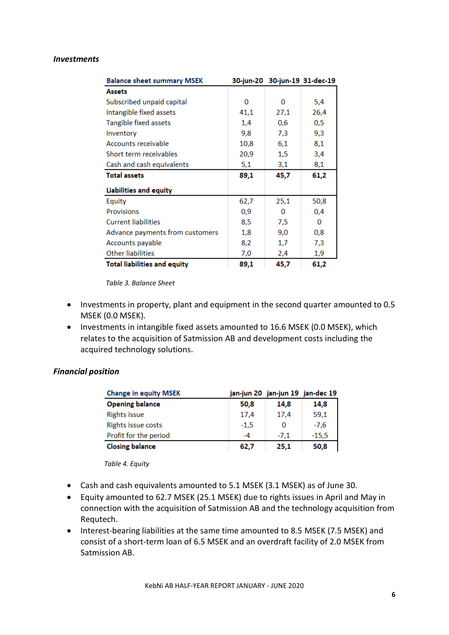#### *Investments*

| <b>Balance sheet summary MSEK</b>   |      | 30-jun-20 30-jun-19 31-dec-19 |      |  |
|-------------------------------------|------|-------------------------------|------|--|
| <b>Assets</b>                       |      |                               |      |  |
| Subscribed unpaid capital           | 0    | 0                             | 5,4  |  |
| Intangible fixed assets             | 41,1 | 27,1                          | 26,4 |  |
| Tangible fixed assets               | 1,4  | 0,6                           | 0,5  |  |
| Inventory                           | 9,8  | 7,3                           | 9,3  |  |
| Accounts receivable                 | 10,8 | 6,1                           | 8,1  |  |
| Short term receivables              | 20,9 | 1,5                           | 3,4  |  |
| Cash and cash equivalents           | 5,1  | 3,1                           | 8,1  |  |
| <b>Total assets</b>                 | 89,1 | 45,7                          | 61,2 |  |
| <b>Liabilities and equity</b>       |      |                               |      |  |
| Equity                              | 62,7 | 25,1                          | 50,8 |  |
| <b>Provisions</b>                   | 0,9  | o                             | 0,4  |  |
| <b>Current liabilities</b>          | 8,5  | 7,5                           | 0    |  |
| Advance payments from customers     | 1,8  | 9,0                           | 0,8  |  |
| Accounts payable                    | 8,2  | 1,7                           | 7,3  |  |
| Other liabilities                   | 7,0  | 2,4                           | 1,9  |  |
| <b>Total liabilities and equity</b> | 89,1 | 45,7                          | 61,2 |  |

*Table 3. Balance Sheet*

- Investments in property, plant and equipment in the second quarter amounted to 0.5 MSEK (0.0 MSEK).
- Investments in intangible fixed assets amounted to 16.6 MSEK (0.0 MSEK), which relates to the acquisition of Satmission AB and development costs including the acquired technology solutions.

#### *Financial position*

| <b>Change in equity MSEK</b> |        |        | jan-jun 20   jan-jun 19   jan-dec 19 |
|------------------------------|--------|--------|--------------------------------------|
| <b>Opening balance</b>       | 50.8   | 14.8   | 14,8                                 |
| <b>Rights issue</b>          | 17,4   | 17,4   | 59,1                                 |
| Rights issue costs           | $-1,5$ |        | $-7,6$                               |
| Profit for the period        | -4     | $-7.1$ | $-15,5$                              |
| <b>Closing balance</b>       | 62.7   | 25.1   | 50,8                                 |

*Table 4. Equity*

- Cash and cash equivalents amounted to 5.1 MSEK (3.1 MSEK) as of June 30.
- Equity amounted to 62.7 MSEK (25.1 MSEK) due to rights issues in April and May in connection with the acquisition of Satmission AB and the technology acquisition from Requtech.
- Interest-bearing liabilities at the same time amounted to 8.5 MSEK (7.5 MSEK) and consist of a short-term loan of 6.5 MSEK and an overdraft facility of 2.0 MSEK from Satmission AB.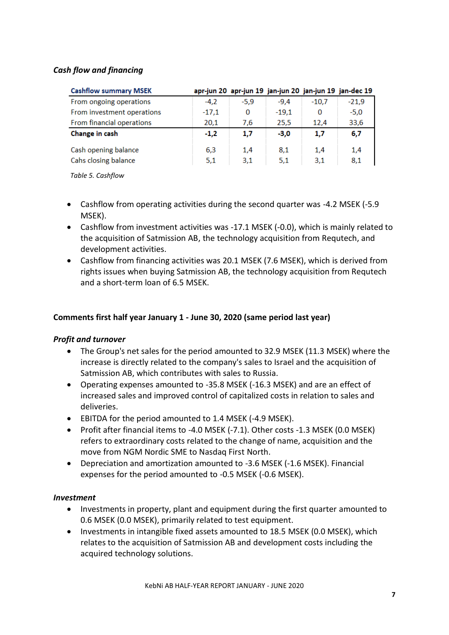#### *Cash flow and financing*

| <b>Cashflow summary MSEK</b> |         | apr-jun 20 apr-jun 19 jan-jun 20 jan-jun 19 jan-dec 19 |         |         |         |
|------------------------------|---------|--------------------------------------------------------|---------|---------|---------|
| From ongoing operations      | $-4.2$  | $-5.9$                                                 | $-9.4$  | $-10.7$ | $-21.9$ |
| From investment operations   | $-17.1$ | 0                                                      | $-19.1$ | 0       | $-5,0$  |
| From financial operations    | 20,1    | 7,6                                                    | 25,5    | 12,4    | 33,6    |
| Change in cash               | $-1,2$  | 1,7                                                    | $-3.0$  | 1,7     | 6,7     |
| Cash opening balance         | 6,3     | 1,4                                                    | 8,1     | 1.4     | 1,4     |
| Cahs closing balance         | 5,1     | 3,1                                                    | 5,1     | 3,1     | 8,1     |

 *Table 5. Cashflow*

- Cashflow from operating activities during the second quarter was -4.2 MSEK (-5.9 MSEK).
- Cashflow from investment activities was -17.1 MSEK (-0.0), which is mainly related to the acquisition of Satmission AB, the technology acquisition from Requtech, and development activities.
- Cashflow from financing activities was 20.1 MSEK (7.6 MSEK), which is derived from rights issues when buying Satmission AB, the technology acquisition from Requtech and a short-term loan of 6.5 MSEK.

#### **Comments first half year January 1 - June 30, 2020 (same period last year)**

#### *Profit and turnover*

- The Group's net sales for the period amounted to 32.9 MSEK (11.3 MSEK) where the increase is directly related to the company's sales to Israel and the acquisition of Satmission AB, which contributes with sales to Russia.
- Operating expenses amounted to -35.8 MSEK (-16.3 MSEK) and are an effect of increased sales and improved control of capitalized costs in relation to sales and deliveries.
- EBITDA for the period amounted to 1.4 MSEK (-4.9 MSEK).
- Profit after financial items to -4.0 MSEK (-7.1). Other costs -1.3 MSEK (0.0 MSEK) refers to extraordinary costs related to the change of name, acquisition and the move from NGM Nordic SME to Nasdaq First North.
- Depreciation and amortization amounted to -3.6 MSEK (-1.6 MSEK). Financial expenses for the period amounted to -0.5 MSEK (-0.6 MSEK).

#### *Investment*

- Investments in property, plant and equipment during the first quarter amounted to 0.6 MSEK (0.0 MSEK), primarily related to test equipment.
- Investments in intangible fixed assets amounted to 18.5 MSEK (0.0 MSEK), which relates to the acquisition of Satmission AB and development costs including the acquired technology solutions.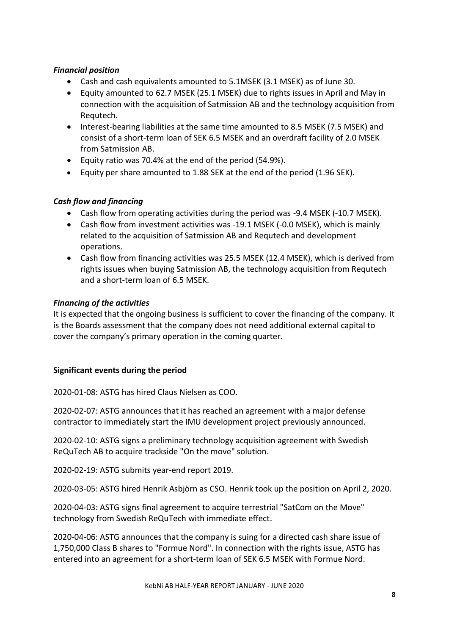#### *Financial position*

- Cash and cash equivalents amounted to 5.1MSEK (3.1 MSEK) as of June 30.
- Equity amounted to 62.7 MSEK (25.1 MSEK) due to rights issues in April and May in connection with the acquisition of Satmission AB and the technology acquisition from Requtech.
- Interest-bearing liabilities at the same time amounted to 8.5 MSEK (7.5 MSEK) and consist of a short-term loan of SEK 6.5 MSEK and an overdraft facility of 2.0 MSEK from Satmission AB.
- Equity ratio was 70.4% at the end of the period (54.9%).
- Equity per share amounted to 1.88 SEK at the end of the period (1.96 SEK).

#### *Cash flow and financing*

- Cash flow from operating activities during the period was -9.4 MSEK (-10.7 MSEK).
- Cash flow from investment activities was -19.1 MSEK (-0.0 MSEK), which is mainly related to the acquisition of Satmission AB and Requtech and development operations.
- Cash flow from financing activities was 25.5 MSEK (12.4 MSEK), which is derived from rights issues when buying Satmission AB, the technology acquisition from Requtech and a short-term loan of 6.5 MSEK.

#### *Financing of the activities*

It is expected that the ongoing business is sufficient to cover the financing of the company. It is the Boards assessment that the company does not need additional external capital to cover the company's primary operation in the coming quarter.

#### **Significant events during the period**

2020-01-08: ASTG has hired Claus Nielsen as COO.

2020-02-07: ASTG announces that it has reached an agreement with a major defense contractor to immediately start the IMU development project previously announced.

2020-02-10: ASTG signs a preliminary technology acquisition agreement with Swedish ReQuTech AB to acquire trackside "On the move" solution.

2020-02-19: ASTG submits year-end report 2019.

2020-03-05: ASTG hired Henrik Asbjörn as CSO. Henrik took up the position on April 2, 2020.

2020-04-03: ASTG signs final agreement to acquire terrestrial "SatCom on the Move" technology from Swedish ReQuTech with immediate effect.

2020-04-06: ASTG announces that the company is suing for a directed cash share issue of 1,750,000 Class B shares to "Formue Nord". In connection with the rights issue, ASTG has entered into an agreement for a short-term loan of SEK 6.5 MSEK with Formue Nord.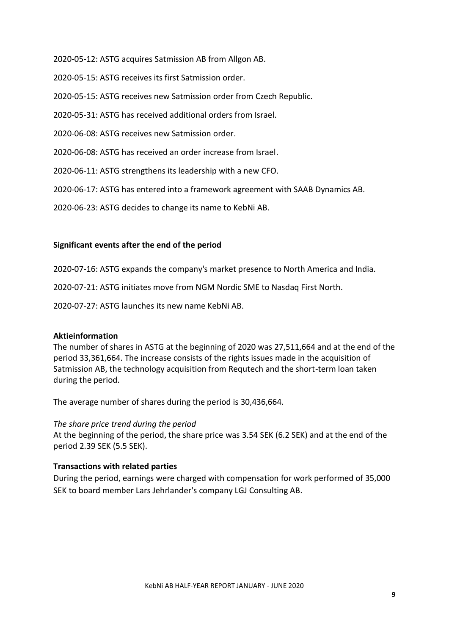2020-05-12: ASTG acquires Satmission AB from Allgon AB.

2020-05-15: ASTG receives its first Satmission order.

2020-05-15: ASTG receives new Satmission order from Czech Republic.

2020-05-31: ASTG has received additional orders from Israel.

2020-06-08: ASTG receives new Satmission order.

2020-06-08: ASTG has received an order increase from Israel.

2020-06-11: ASTG strengthens its leadership with a new CFO.

2020-06-17: ASTG has entered into a framework agreement with SAAB Dynamics AB.

2020-06-23: ASTG decides to change its name to KebNi AB.

#### **Significant events after the end of the period**

2020-07-16: ASTG expands the company's market presence to North America and India.

2020-07-21: ASTG initiates move from NGM Nordic SME to Nasdaq First North.

2020-07-27: ASTG launches its new name KebNi AB.

#### **Aktieinformation**

The number of shares in ASTG at the beginning of 2020 was 27,511,664 and at the end of the period 33,361,664. The increase consists of the rights issues made in the acquisition of Satmission AB, the technology acquisition from Requtech and the short-term loan taken during the period.

The average number of shares during the period is 30,436,664.

#### *The share price trend during the period*

At the beginning of the period, the share price was 3.54 SEK (6.2 SEK) and at the end of the period 2.39 SEK (5.5 SEK).

#### **Transactions with related parties**

During the period, earnings were charged with compensation for work performed of 35,000 SEK to board member Lars Jehrlander's company LGJ Consulting AB.